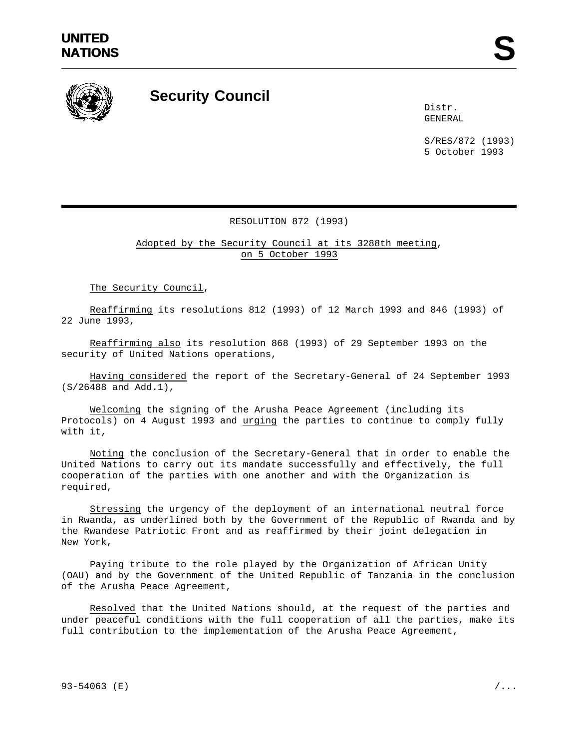

## **Security Council**

Distr. GENERAL

S/RES/872 (1993) 5 October 1993

## RESOLUTION 872 (1993)

Adopted by the Security Council at its 3288th meeting, on 5 October 1993

The Security Council,

Reaffirming its resolutions 812 (1993) of 12 March 1993 and 846 (1993) of 22 June 1993,

Reaffirming also its resolution 868 (1993) of 29 September 1993 on the security of United Nations operations,

Having considered the report of the Secretary-General of 24 September 1993 (S/26488 and Add.1),

Welcoming the signing of the Arusha Peace Agreement (including its Protocols) on 4 August 1993 and urging the parties to continue to comply fully with it,

Noting the conclusion of the Secretary-General that in order to enable the United Nations to carry out its mandate successfully and effectively, the full cooperation of the parties with one another and with the Organization is required,

Stressing the urgency of the deployment of an international neutral force in Rwanda, as underlined both by the Government of the Republic of Rwanda and by the Rwandese Patriotic Front and as reaffirmed by their joint delegation in New York,

Paying tribute to the role played by the Organization of African Unity (OAU) and by the Government of the United Republic of Tanzania in the conclusion of the Arusha Peace Agreement,

Resolved that the United Nations should, at the request of the parties and under peaceful conditions with the full cooperation of all the parties, make its full contribution to the implementation of the Arusha Peace Agreement,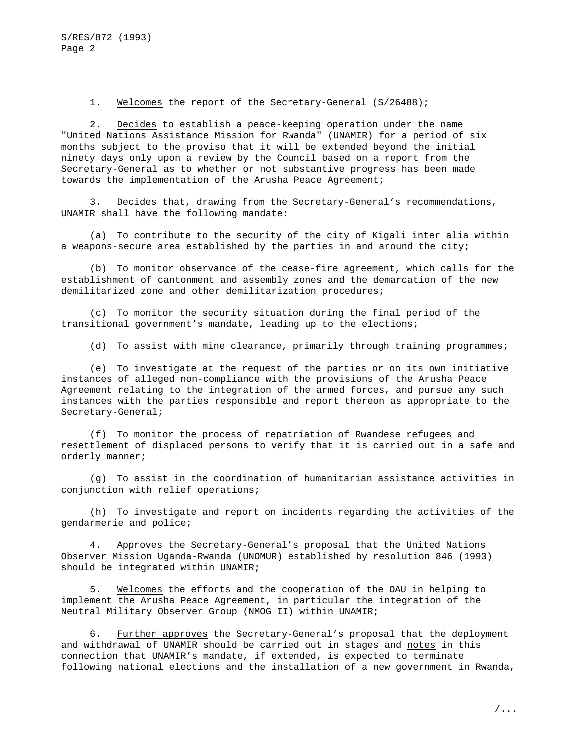1. Welcomes the report of the Secretary-General (S/26488);

2. Decides to establish a peace-keeping operation under the name "United Nations Assistance Mission for Rwanda" (UNAMIR) for a period of six months subject to the proviso that it will be extended beyond the initial ninety days only upon a review by the Council based on a report from the Secretary-General as to whether or not substantive progress has been made towards the implementation of the Arusha Peace Agreement;

3. Decides that, drawing from the Secretary-General's recommendations, UNAMIR shall have the following mandate:

(a) To contribute to the security of the city of Kigali inter alia within a weapons-secure area established by the parties in and around the city;

(b) To monitor observance of the cease-fire agreement, which calls for the establishment of cantonment and assembly zones and the demarcation of the new demilitarized zone and other demilitarization procedures;

(c) To monitor the security situation during the final period of the transitional government's mandate, leading up to the elections;

(d) To assist with mine clearance, primarily through training programmes;

(e) To investigate at the request of the parties or on its own initiative instances of alleged non-compliance with the provisions of the Arusha Peace Agreement relating to the integration of the armed forces, and pursue any such instances with the parties responsible and report thereon as appropriate to the Secretary-General;

(f) To monitor the process of repatriation of Rwandese refugees and resettlement of displaced persons to verify that it is carried out in a safe and orderly manner;

(g) To assist in the coordination of humanitarian assistance activities in conjunction with relief operations;

(h) To investigate and report on incidents regarding the activities of the gendarmerie and police;

4. Approves the Secretary-General's proposal that the United Nations Observer Mission Uganda-Rwanda (UNOMUR) established by resolution 846 (1993) should be integrated within UNAMIR;

5. Welcomes the efforts and the cooperation of the OAU in helping to implement the Arusha Peace Agreement, in particular the integration of the Neutral Military Observer Group (NMOG II) within UNAMIR;

6. Further approves the Secretary-General's proposal that the deployment and withdrawal of UNAMIR should be carried out in stages and notes in this connection that UNAMIR's mandate, if extended, is expected to terminate following national elections and the installation of a new government in Rwanda,